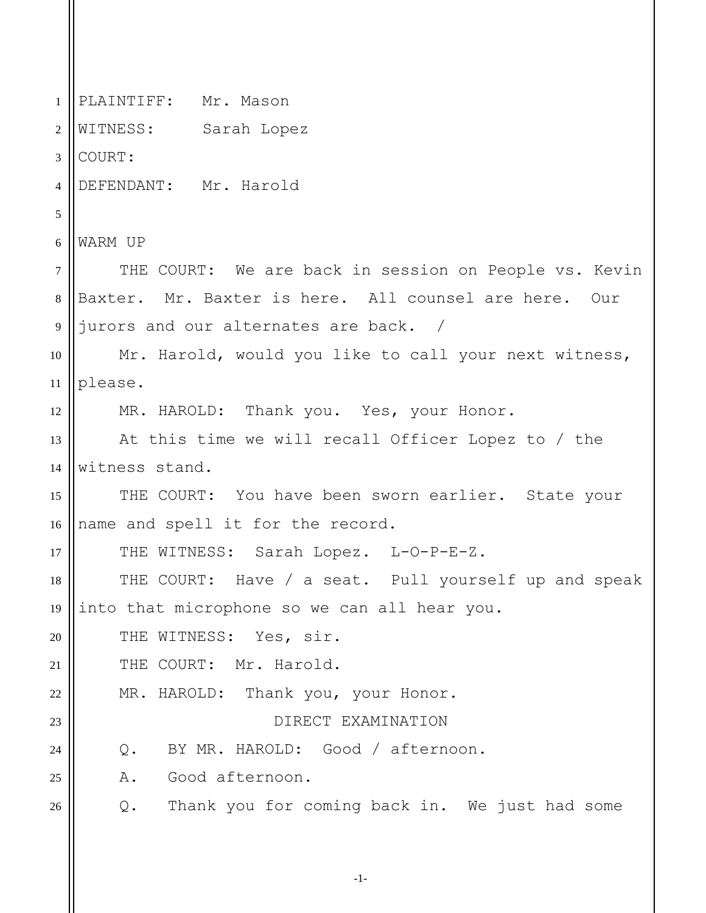1 2 3 4 5 6 7 8 9 10 11 12 13 14 15 16 17 18 19 20 21 22 23 24 25 26 PLAINTIFF: Mr. Mason WITNESS: Sarah Lopez COURT: DEFENDANT: Mr. Harold WARM UP THE COURT: We are back in session on People vs. Kevin Baxter. Mr. Baxter is here. All counsel are here. Our jurors and our alternates are back. / Mr. Harold, would you like to call your next witness, please. MR. HAROLD: Thank you. Yes, your Honor. At this time we will recall Officer Lopez to / the witness stand. THE COURT: You have been sworn earlier. State your name and spell it for the record. THE WITNESS: Sarah Lopez. L-O-P-E-Z. THE COURT: Have / a seat. Pull yourself up and speak into that microphone so we can all hear you. THE WITNESS: Yes, sir. THE COURT: Mr. Harold. MR. HAROLD: Thank you, your Honor. DIRECT EXAMINATION Q. BY MR. HAROLD: Good / afternoon. A. Good afternoon. Q. Thank you for coming back in. We just had some

-1-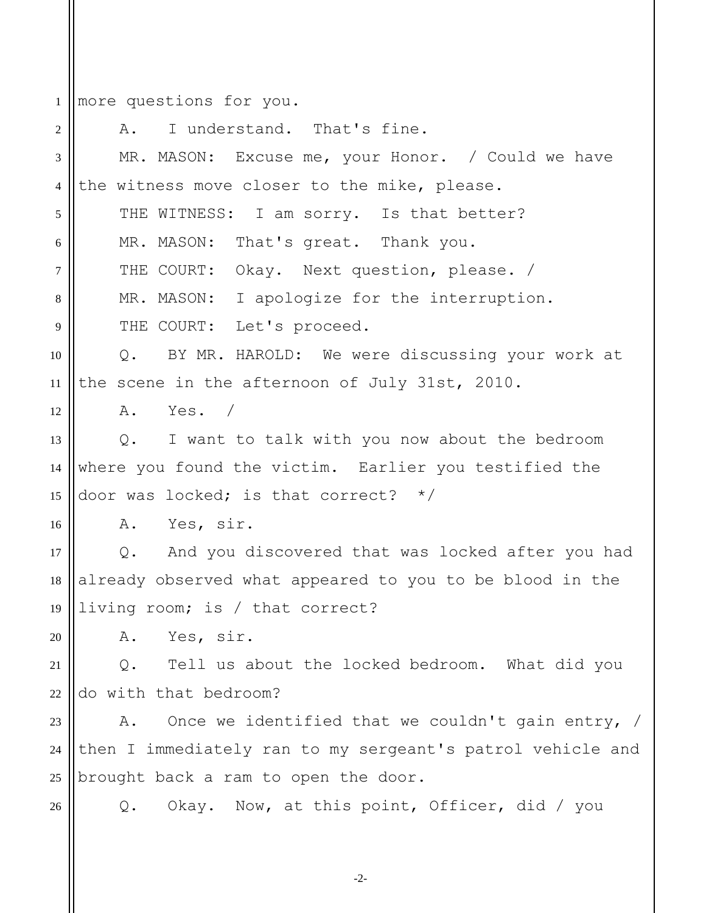1 more questions for you.

2 3 4 5 6 7 8 9 10 11 12 13 14 15 16 17 18 19 20 21 22 23 24 25 26 A. I understand. That's fine. MR. MASON: Excuse me, your Honor. / Could we have the witness move closer to the mike, please. THE WITNESS: I am sorry. Is that better? MR. MASON: That's great. Thank you. THE COURT: Okay. Next question, please. / MR. MASON: I apologize for the interruption. THE COURT: Let's proceed. Q. BY MR. HAROLD: We were discussing your work at the scene in the afternoon of July 31st, 2010. A. Yes. / Q. I want to talk with you now about the bedroom where you found the victim. Earlier you testified the door was locked; is that correct? \*/ A. Yes, sir. Q. And you discovered that was locked after you had already observed what appeared to you to be blood in the living room; is / that correct? A. Yes, sir. Q. Tell us about the locked bedroom. What did you do with that bedroom? A. Once we identified that we couldn't gain entry, / then I immediately ran to my sergeant's patrol vehicle and brought back a ram to open the door. Q. Okay. Now, at this point, Officer, did / you

-2-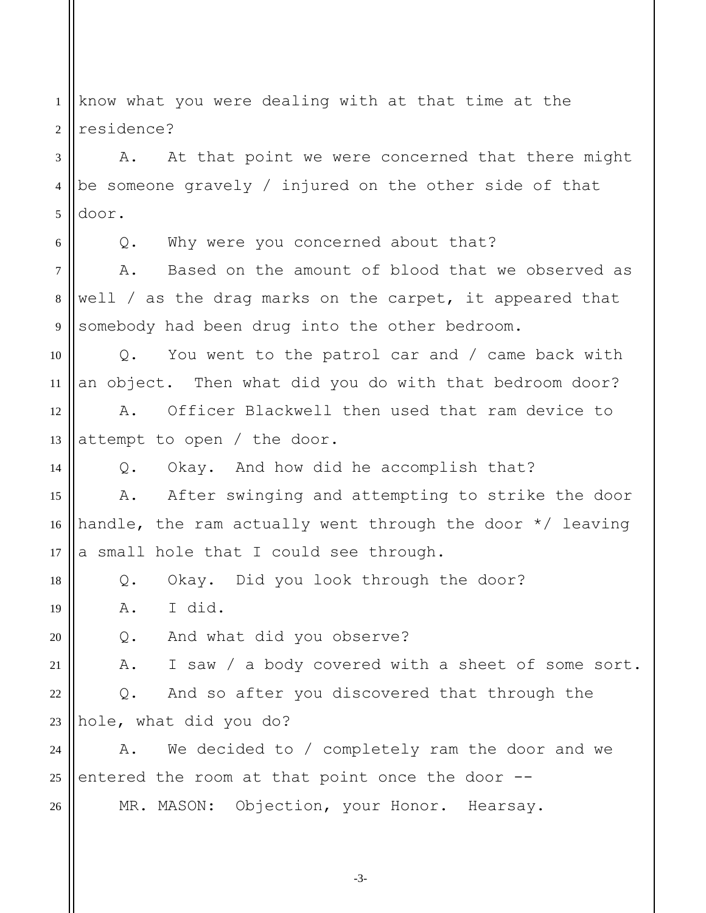1 2 know what you were dealing with at that time at the residence?

3 4 5 A. At that point we were concerned that there might be someone gravely / injured on the other side of that door.

6

14

Q. Why were you concerned about that?

7 8 9 A. Based on the amount of blood that we observed as well / as the drag marks on the carpet, it appeared that somebody had been drug into the other bedroom.

10 11 Q. You went to the patrol car and / came back with an object. Then what did you do with that bedroom door?

12 13 A. Officer Blackwell then used that ram device to attempt to open / the door.

Q. Okay. And how did he accomplish that?

15 16 17 A. After swinging and attempting to strike the door handle, the ram actually went through the door \*/ leaving a small hole that I could see through.

18 Q. Okay. Did you look through the door?

19 A. I did.

20 Q. And what did you observe?

21 A. I saw / a body covered with a sheet of some sort.

22 23 Q. And so after you discovered that through the hole, what did you do?

24 25 26 A. We decided to / completely ram the door and we entered the room at that point once the door -- MR. MASON: Objection, your Honor. Hearsay.

-3-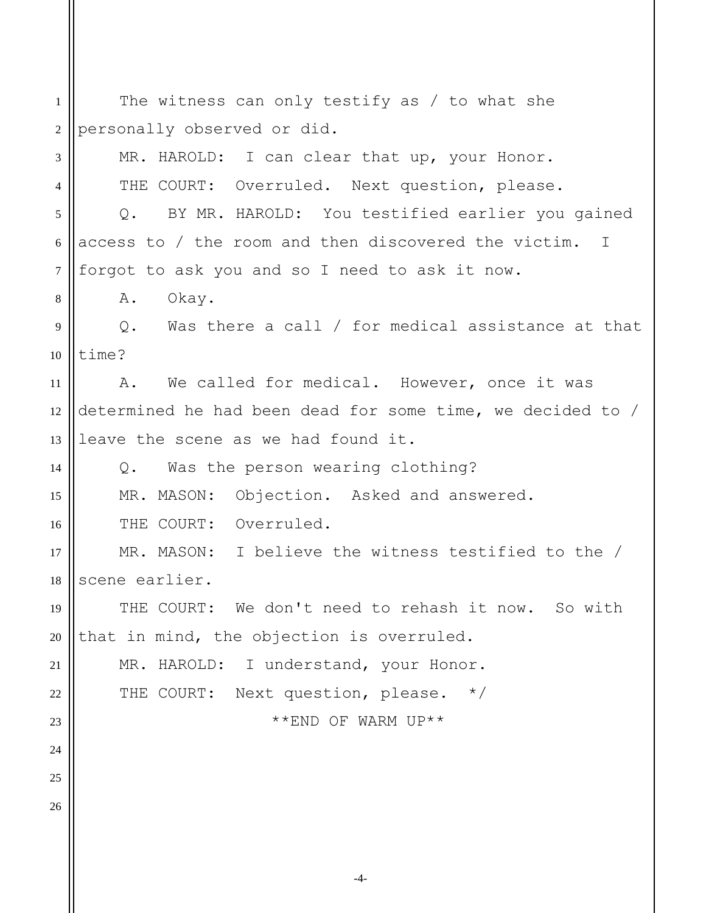1 2 3 4 5 6 7 8 9 10 11 12 13 14 15 16 17 18 19 20 21 22 23  $24$ 25 26 The witness can only testify as / to what she personally observed or did. MR. HAROLD: I can clear that up, your Honor. THE COURT: Overruled. Next question, please. Q. BY MR. HAROLD: You testified earlier you gained access to / the room and then discovered the victim. I forgot to ask you and so I need to ask it now. A. Okay. Q. Was there a call / for medical assistance at that time? A. We called for medical. However, once it was determined he had been dead for some time, we decided to / leave the scene as we had found it. Q. Was the person wearing clothing? MR. MASON: Objection. Asked and answered. THE COURT: Overruled. MR. MASON: I believe the witness testified to the / scene earlier. THE COURT: We don't need to rehash it now. So with that in mind, the objection is overruled. MR. HAROLD: I understand, your Honor. THE COURT: Next question, please. \*/ \*\*END OF WARM UP\*\*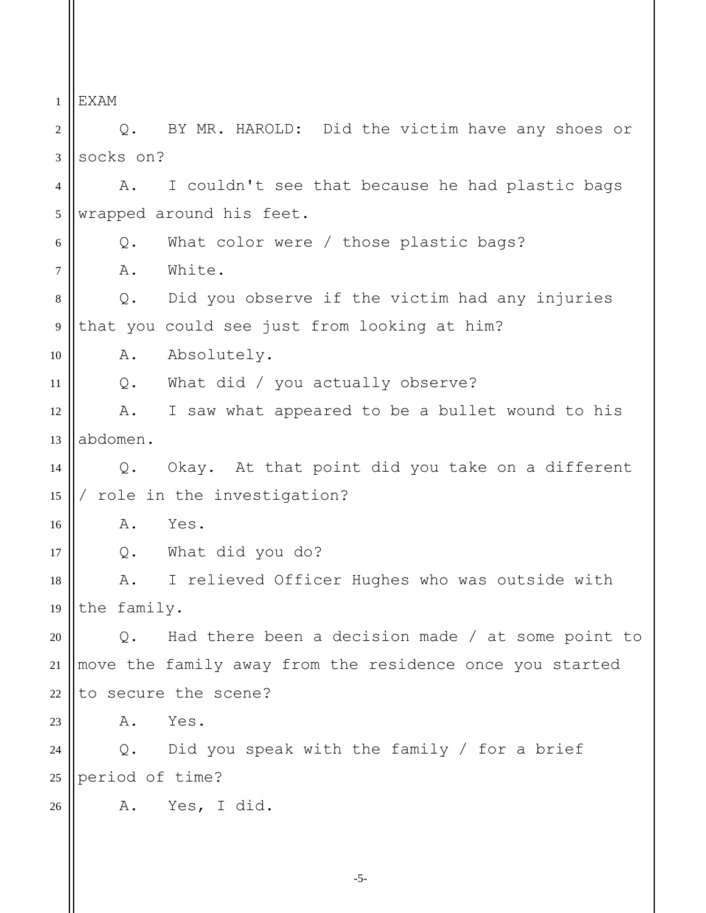1 EXAM

2 3 4 5 6 7 8 9 10 11 12 13 14 15 16 17 18 19 20 21 22 23 24 25 26 Q. BY MR. HAROLD: Did the victim have any shoes or socks on? A. I couldn't see that because he had plastic bags wrapped around his feet. Q. What color were / those plastic bags? A. White. Q. Did you observe if the victim had any injuries that you could see just from looking at him? A. Absolutely. Q. What did / you actually observe? A. I saw what appeared to be a bullet wound to his abdomen. Q. Okay. At that point did you take on a different / role in the investigation? A. Yes. Q. What did you do? A. I relieved Officer Hughes who was outside with the family. Q. Had there been a decision made / at some point to move the family away from the residence once you started to secure the scene? A. Yes. Q. Did you speak with the family / for a brief period of time? A. Yes, I did.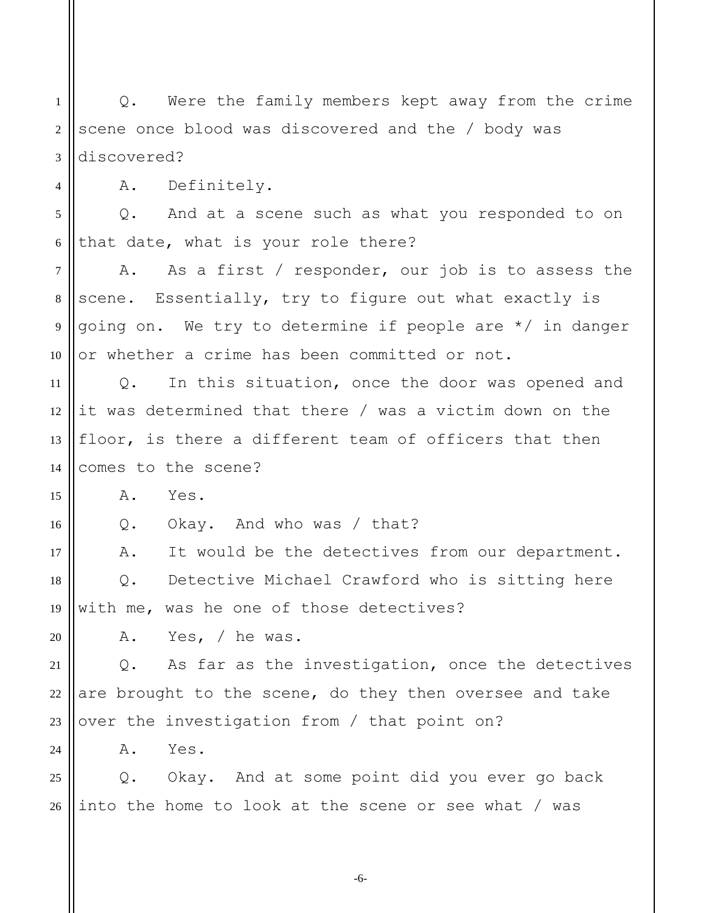1 2 3 Q. Were the family members kept away from the crime scene once blood was discovered and the / body was discovered?

A. Definitely.

5 6 Q. And at a scene such as what you responded to on that date, what is your role there?

7 8 9 10 A. As a first / responder, our job is to assess the scene. Essentially, try to figure out what exactly is going on. We try to determine if people are \*/ in danger or whether a crime has been committed or not.

11 12 13 14 Q. In this situation, once the door was opened and it was determined that there / was a victim down on the floor, is there a different team of officers that then comes to the scene?

15 A. Yes.

16 Q. Okay. And who was / that?

17 18 19 A. It would be the detectives from our department. Q. Detective Michael Crawford who is sitting here with me, was he one of those detectives?

20

 $24$ 

4

A. Yes, / he was.

21 22 23 Q. As far as the investigation, once the detectives are brought to the scene, do they then oversee and take over the investigation from / that point on?

A. Yes.

25 26 Q. Okay. And at some point did you ever go back into the home to look at the scene or see what / was

-6-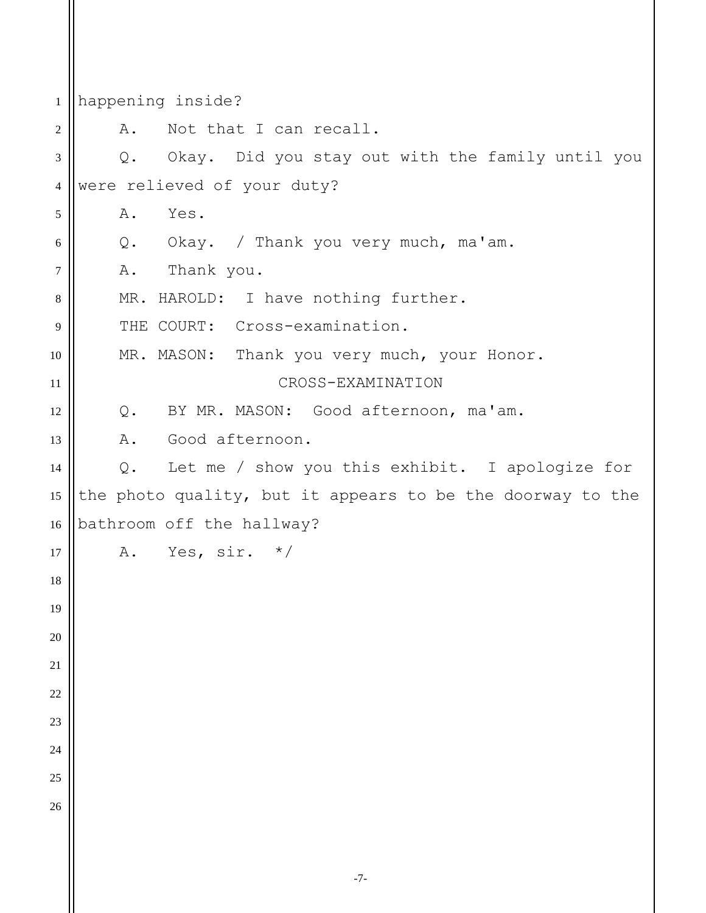| 1       | happening inside?                                          |
|---------|------------------------------------------------------------|
| 2       | Not that I can recall.<br>A.                               |
| 3       | Okay. Did you stay out with the family until you<br>Q.     |
| 4       | were relieved of your duty?                                |
| 5       | Yes.<br>Α.                                                 |
| 6       | Q. Okay. / Thank you very much, ma'am.                     |
| 7       | Thank you.<br>A.                                           |
| $\,8\,$ | MR. HAROLD: I have nothing further.                        |
| 9       | THE COURT: Cross-examination.                              |
| 10      | MR. MASON: Thank you very much, your Honor.                |
| 11      | CROSS-EXAMINATION                                          |
| 12      | BY MR. MASON: Good afternoon, ma'am.<br>Q.                 |
| 13      | A. Good afternoon.                                         |
| 14      | Let me / show you this exhibit. I apologize for<br>$Q$ .   |
| 15      | the photo quality, but it appears to be the doorway to the |
| 16      | bathroom off the hallway?                                  |
| 17      | A. Yes, sir. $*/$                                          |
| 18      |                                                            |
| 19      |                                                            |
| 20      |                                                            |
| 21      |                                                            |
| 22      |                                                            |
| 23      |                                                            |
| 24      |                                                            |
| 25      |                                                            |
| 26      |                                                            |
|         |                                                            |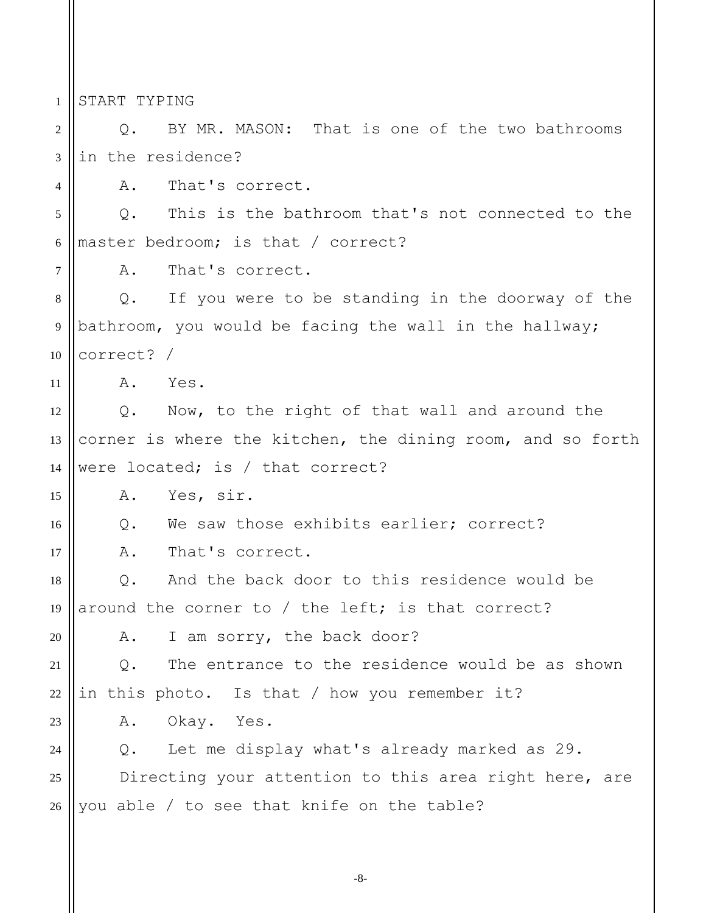1 START TYPING

4

7

11

16

17

20

23

24

2 3 Q. BY MR. MASON: That is one of the two bathrooms in the residence?

A. That's correct.

5 6 Q. This is the bathroom that's not connected to the master bedroom; is that / correct?

A. That's correct.

8 9 10 Q. If you were to be standing in the doorway of the bathroom, you would be facing the wall in the hallway; correct? /

A. Yes.

12 13 14 Q. Now, to the right of that wall and around the corner is where the kitchen, the dining room, and so forth were located; is / that correct?

15 A. Yes, sir.

Q. We saw those exhibits earlier; correct?

A. That's correct.

18 19 Q. And the back door to this residence would be around the corner to / the left; is that correct?

A. I am sorry, the back door?

21 22 Q. The entrance to the residence would be as shown in this photo. Is that / how you remember it?

A. Okay. Yes.

Q. Let me display what's already marked as 29.

25 26 Directing your attention to this area right here, are you able / to see that knife on the table?

-8-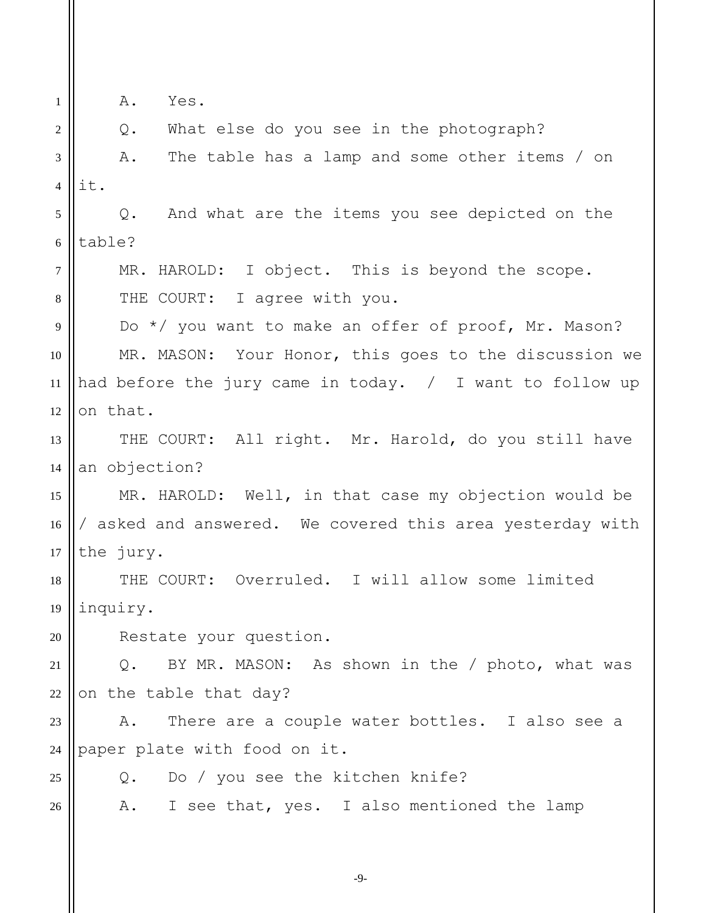1 2 3 4 5 6 7 8 9 10 11 12 13 14 15 16 17 18 19 20 21 22 23 24 25 26 A. Yes. Q. What else do you see in the photograph? A. The table has a lamp and some other items / on it. Q. And what are the items you see depicted on the table? MR. HAROLD: I object. This is beyond the scope. THE COURT: I agree with you. Do \*/ you want to make an offer of proof, Mr. Mason? MR. MASON: Your Honor, this goes to the discussion we had before the jury came in today. / I want to follow up on that. THE COURT: All right. Mr. Harold, do you still have an objection? MR. HAROLD: Well, in that case my objection would be / asked and answered. We covered this area yesterday with the jury. THE COURT: Overruled. I will allow some limited inquiry. Restate your question. Q. BY MR. MASON: As shown in the / photo, what was on the table that day? A. There are a couple water bottles. I also see a paper plate with food on it. Q. Do / you see the kitchen knife? A. I see that, yes. I also mentioned the lamp

-9-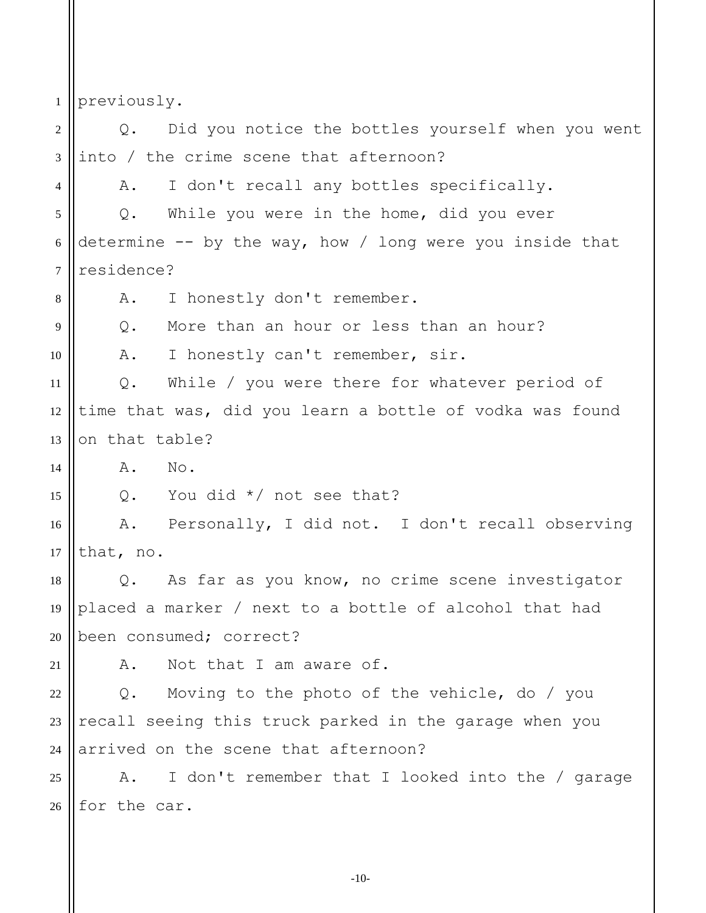1 2 3 4 5 6 7 8 9 10 11 12 13 14 15 16 17 18 19 20 21 22 23  $24$ 25 26 previously. Q. Did you notice the bottles yourself when you went into / the crime scene that afternoon? A. I don't recall any bottles specifically. Q. While you were in the home, did you ever determine  $-$ - by the way, how / long were you inside that residence? A. I honestly don't remember. Q. More than an hour or less than an hour? A. I honestly can't remember, sir. Q. While / you were there for whatever period of time that was, did you learn a bottle of vodka was found on that table? A. No. Q. You did \*/ not see that? A. Personally, I did not. I don't recall observing that, no. Q. As far as you know, no crime scene investigator placed a marker / next to a bottle of alcohol that had been consumed; correct? A. Not that I am aware of. Q. Moving to the photo of the vehicle, do / you recall seeing this truck parked in the garage when you arrived on the scene that afternoon? A. I don't remember that I looked into the / garage for the car.

-10-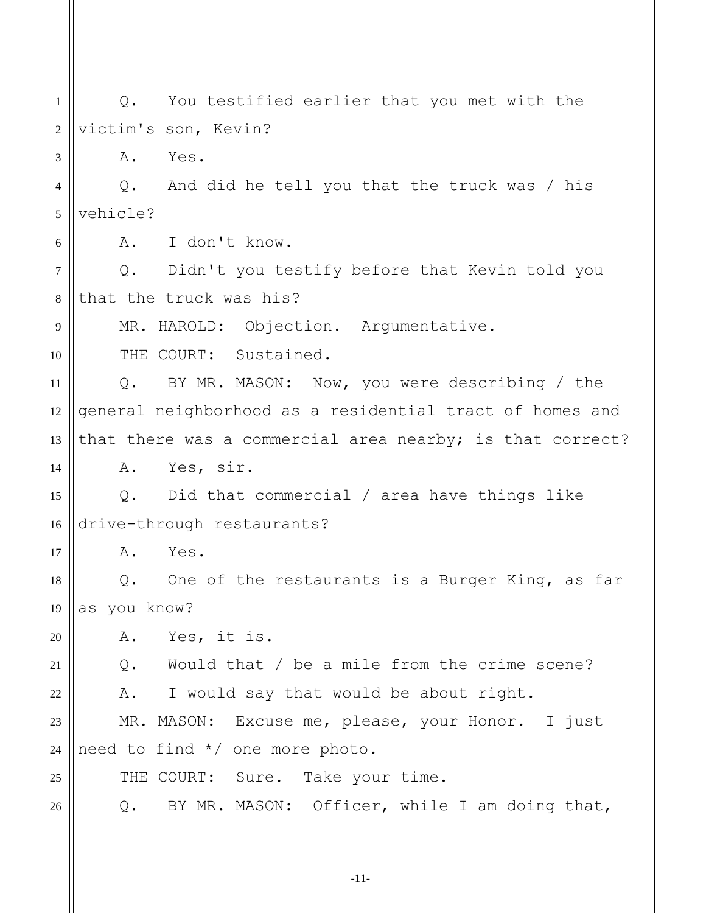1 2 3 4 5 6 7 8 9 10 11 12 13 14 15 16 17 18 19 20 21 22 23 24 25 26 Q. You testified earlier that you met with the victim's son, Kevin? A. Yes. Q. And did he tell you that the truck was / his vehicle? A. I don't know. Q. Didn't you testify before that Kevin told you that the truck was his? MR. HAROLD: Objection. Argumentative. THE COURT: Sustained. Q. BY MR. MASON: Now, you were describing / the general neighborhood as a residential tract of homes and that there was a commercial area nearby; is that correct? A. Yes, sir. Q. Did that commercial / area have things like drive-through restaurants? A. Yes. Q. One of the restaurants is a Burger King, as far as you know? A. Yes, it is. Q. Would that / be a mile from the crime scene? A. I would say that would be about right. MR. MASON: Excuse me, please, your Honor. I just need to find \*/ one more photo. THE COURT: Sure. Take your time. Q. BY MR. MASON: Officer, while I am doing that,

-11-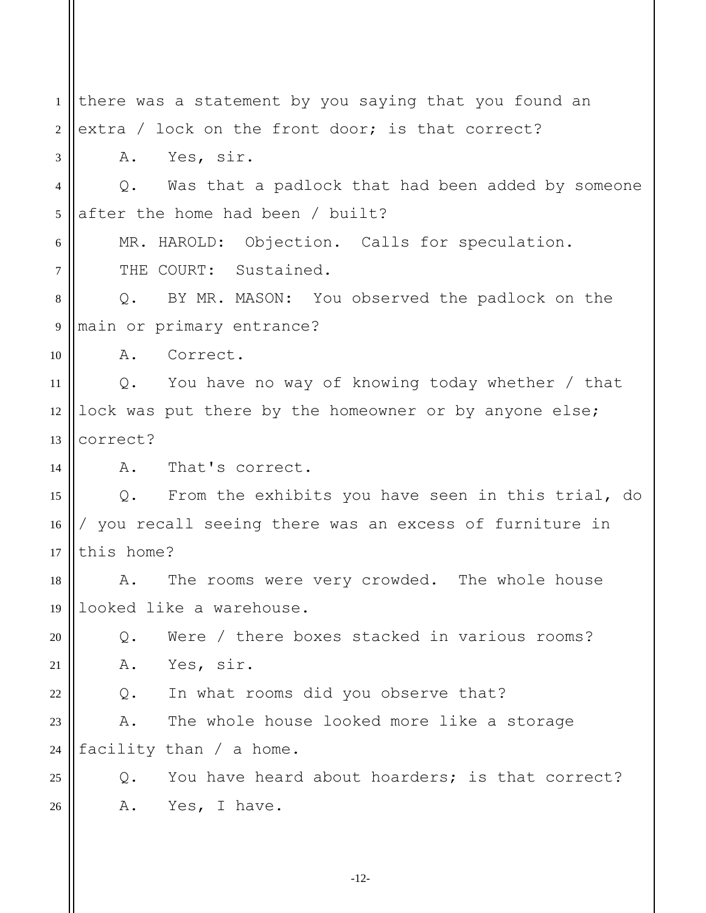1 2 3 4 5 6 7 8 9 10 11 12 13 14 15 16 17 18 19 20 21 22 23 24 25 26 there was a statement by you saying that you found an extra / lock on the front door; is that correct? A. Yes, sir. Q. Was that a padlock that had been added by someone after the home had been / built? MR. HAROLD: Objection. Calls for speculation. THE COURT: Sustained. Q. BY MR. MASON: You observed the padlock on the main or primary entrance? A. Correct. Q. You have no way of knowing today whether / that lock was put there by the homeowner or by anyone else; correct? A. That's correct. Q. From the exhibits you have seen in this trial, do / you recall seeing there was an excess of furniture in this home? A. The rooms were very crowded. The whole house looked like a warehouse. Q. Were / there boxes stacked in various rooms? A. Yes, sir. Q. In what rooms did you observe that? A. The whole house looked more like a storage facility than / a home. Q. You have heard about hoarders; is that correct? A. Yes, I have.

-12-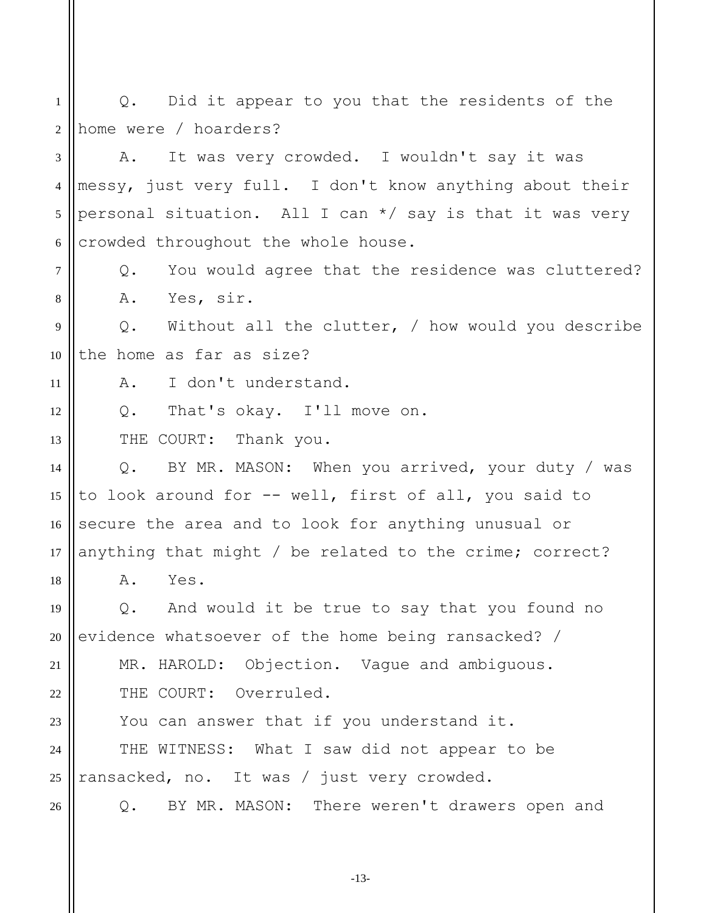1 2 Q. Did it appear to you that the residents of the home were / hoarders?

3 4 5 6 A. It was very crowded. I wouldn't say it was messy, just very full. I don't know anything about their personal situation. All I can \*/ say is that it was very crowded throughout the whole house.

7 8 Q. You would agree that the residence was cluttered? A. Yes, sir.

9 10 Q. Without all the clutter, / how would you describe the home as far as size?

A. I don't understand.

12 Q. That's okay. I'll move on.

THE COURT: Thank you.

14 15 16 17 Q. BY MR. MASON: When you arrived, your duty / was to look around for -- well, first of all, you said to secure the area and to look for anything unusual or anything that might / be related to the crime; correct?

A. Yes.

11

13

18

26

19 20 21 22 23 Q. And would it be true to say that you found no evidence whatsoever of the home being ransacked? / MR. HAROLD: Objection. Vague and ambiguous. THE COURT: Overruled. You can answer that if you understand it.

24 25 THE WITNESS: What I saw did not appear to be ransacked, no. It was / just very crowded.

Q. BY MR. MASON: There weren't drawers open and

-13-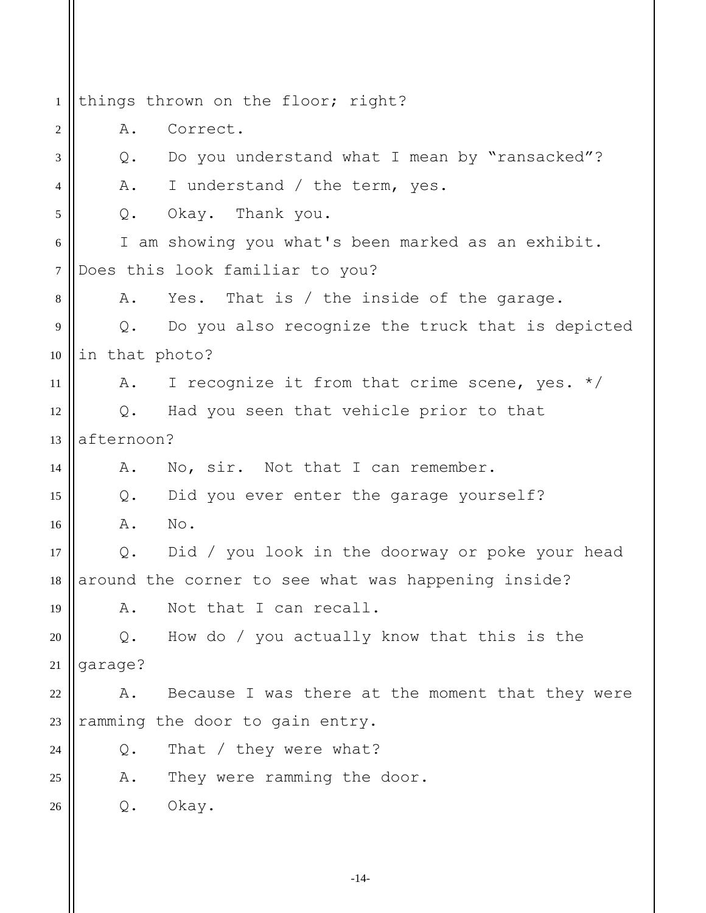1 2 3 4 5 6 7 8 9 10 11 12 13 14 15 16 17 18 19 20 21 22 23  $24$ 25 26 things thrown on the floor; right? A. Correct. Q. Do you understand what I mean by "ransacked"? A. I understand / the term, yes. Q. Okay. Thank you. I am showing you what's been marked as an exhibit. Does this look familiar to you? A. Yes. That is / the inside of the garage. Q. Do you also recognize the truck that is depicted in that photo? A. I recognize it from that crime scene, yes.  $*/$ Q. Had you seen that vehicle prior to that afternoon? A. No, sir. Not that I can remember. Q. Did you ever enter the garage yourself? A. No. Q. Did / you look in the doorway or poke your head around the corner to see what was happening inside? A. Not that I can recall. Q. How do / you actually know that this is the garage? A. Because I was there at the moment that they were ramming the door to gain entry. Q. That / they were what? A. They were ramming the door. Q. Okay.

-14-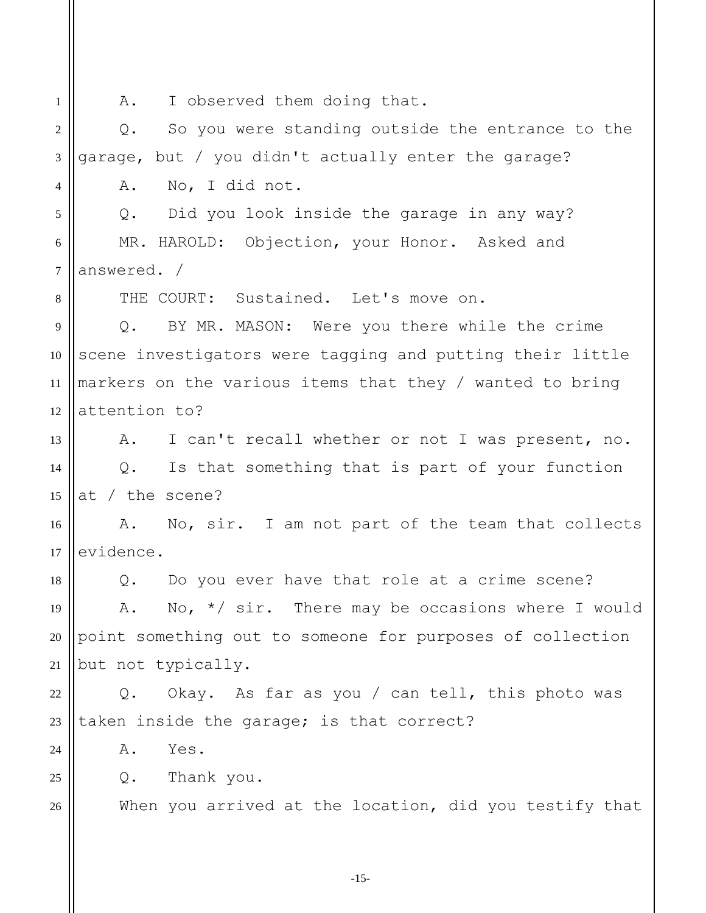1 2 3 4 5 6 7 8 9 10 11 12 13 14 15 16 17 18 19 20 21 22 23  $24$ 25 26 A. I observed them doing that. Q. So you were standing outside the entrance to the garage, but / you didn't actually enter the garage? A. No, I did not. Q. Did you look inside the garage in any way? MR. HAROLD: Objection, your Honor. Asked and answered. / THE COURT: Sustained. Let's move on. Q. BY MR. MASON: Were you there while the crime scene investigators were tagging and putting their little markers on the various items that they / wanted to bring attention to? A. I can't recall whether or not I was present, no. Q. Is that something that is part of your function at / the scene? A. No, sir. I am not part of the team that collects evidence. Q. Do you ever have that role at a crime scene? A. No,  $*/$  sir. There may be occasions where I would point something out to someone for purposes of collection but not typically. Q. Okay. As far as you / can tell, this photo was taken inside the garage; is that correct? A. Yes. Q. Thank you. When you arrived at the location, did you testify that

-15-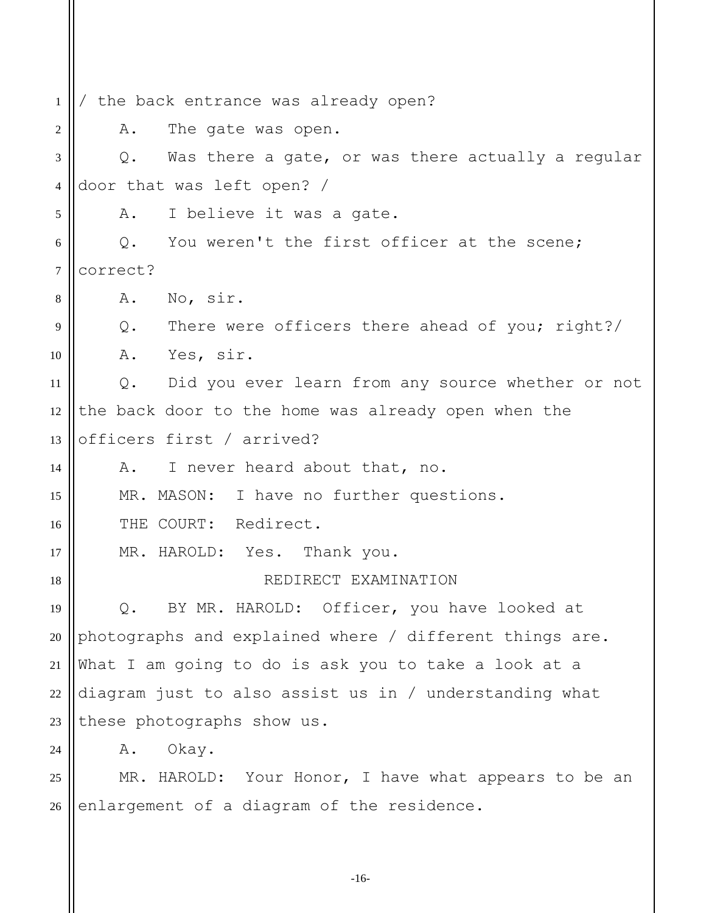1 2 3 4 5 6 7 8 9 10 11 12 13 14 15 16 17 18 19 20 21 22 23  $24$ 25 26 / the back entrance was already open? A. The gate was open. Q. Was there a gate, or was there actually a regular door that was left open? / A. I believe it was a gate. Q. You weren't the first officer at the scene; correct? A. No, sir. Q. There were officers there ahead of you; right?/ A. Yes, sir. Q. Did you ever learn from any source whether or not the back door to the home was already open when the officers first / arrived? A. I never heard about that, no. MR. MASON: I have no further questions. THE COURT: Redirect. MR. HAROLD: Yes. Thank you. REDIRECT EXAMINATION Q. BY MR. HAROLD: Officer, you have looked at photographs and explained where / different things are. What I am going to do is ask you to take a look at a diagram just to also assist us in / understanding what these photographs show us. A. Okay. MR. HAROLD: Your Honor, I have what appears to be an enlargement of a diagram of the residence.

-16-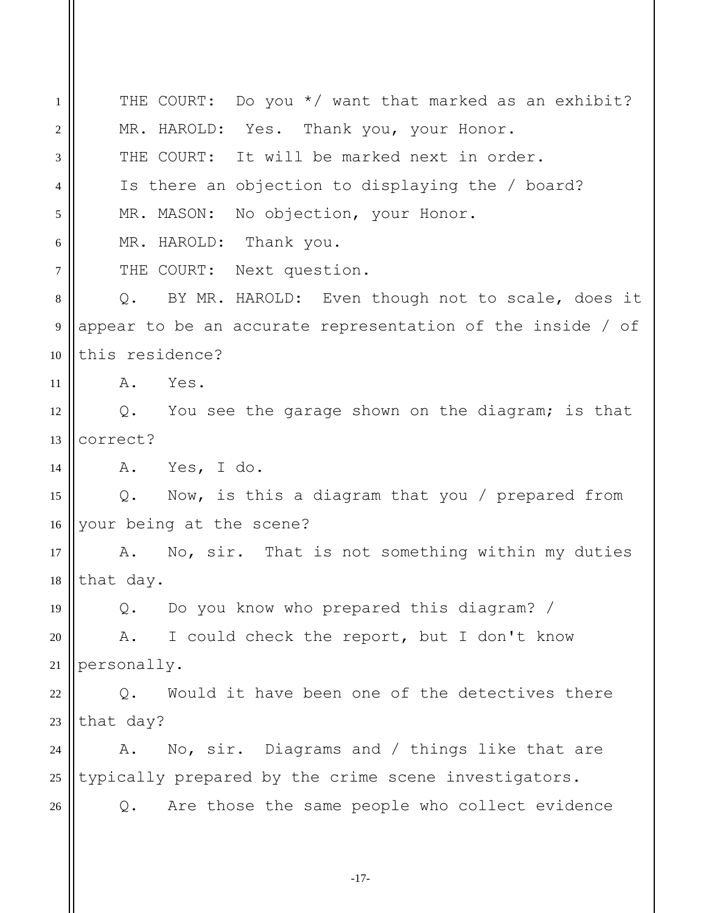1 2 3 4 5 6 7 8 9 10 11 12 13 14 15 16 17 18 19 20 21 22 23  $24$ 25 26 THE COURT: Do you \*/ want that marked as an exhibit? MR. HAROLD: Yes. Thank you, your Honor. THE COURT: It will be marked next in order. Is there an objection to displaying the / board? MR. MASON: No objection, your Honor. MR. HAROLD: Thank you. THE COURT: Next question. Q. BY MR. HAROLD: Even though not to scale, does it appear to be an accurate representation of the inside / of this residence? A. Yes. Q. You see the garage shown on the diagram; is that correct? A. Yes, I do. Q. Now, is this a diagram that you / prepared from your being at the scene? A. No, sir. That is not something within my duties that day. Q. Do you know who prepared this diagram? / A. I could check the report, but I don't know personally. Q. Would it have been one of the detectives there that day? A. No, sir. Diagrams and / things like that are typically prepared by the crime scene investigators. Q. Are those the same people who collect evidence

-17-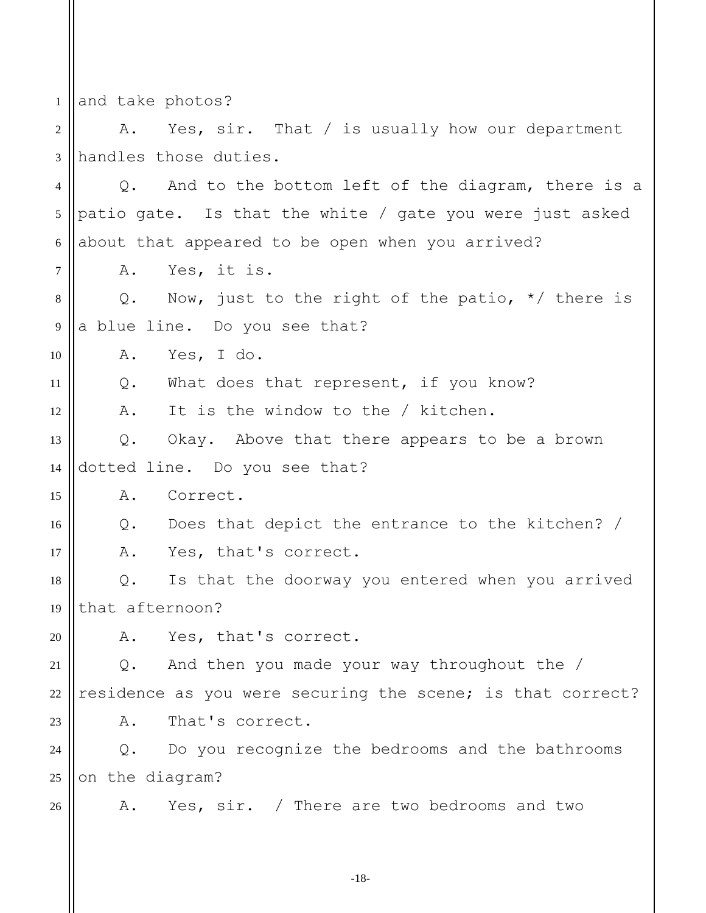1 2 3 4 5 6 7 8 9 10 11 12 13 14 15 16 17 18 19 20 21 22 23 24 25 26 and take photos? A. Yes, sir. That / is usually how our department handles those duties. Q. And to the bottom left of the diagram, there is a patio gate. Is that the white / gate you were just asked about that appeared to be open when you arrived? A. Yes, it is. Q. Now, just to the right of the patio,  $*/$  there is a blue line. Do you see that? A. Yes, I do. Q. What does that represent, if you know? A. It is the window to the / kitchen. Q. Okay. Above that there appears to be a brown dotted line. Do you see that? A. Correct. Q. Does that depict the entrance to the kitchen? / A. Yes, that's correct. Q. Is that the doorway you entered when you arrived that afternoon? A. Yes, that's correct. Q. And then you made your way throughout the / residence as you were securing the scene; is that correct? A. That's correct. Q. Do you recognize the bedrooms and the bathrooms on the diagram? A. Yes, sir. / There are two bedrooms and two

-18-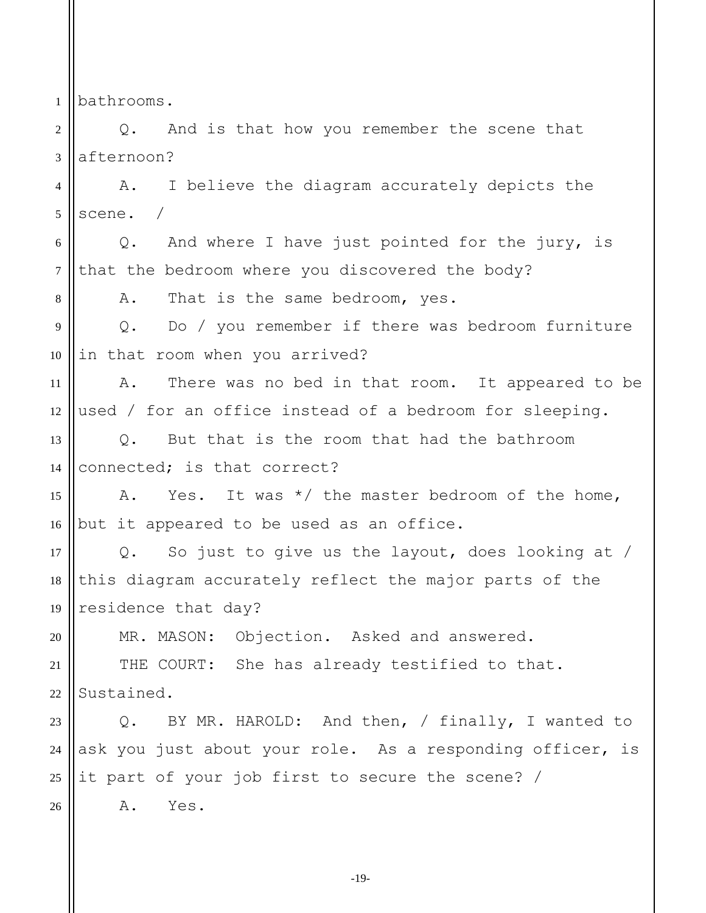1 bathrooms.

8

20

2 3 Q. And is that how you remember the scene that afternoon?

4 5 A. I believe the diagram accurately depicts the scene. /

6 7 Q. And where I have just pointed for the jury, is that the bedroom where you discovered the body?

A. That is the same bedroom, yes.

9 10 Q. Do / you remember if there was bedroom furniture in that room when you arrived?

11 12 A. There was no bed in that room. It appeared to be used / for an office instead of a bedroom for sleeping.

13 14 Q. But that is the room that had the bathroom connected; is that correct?

15 16 A. Yes. It was \*/ the master bedroom of the home, but it appeared to be used as an office.

17 18 19 Q. So just to give us the layout, does looking at / this diagram accurately reflect the major parts of the residence that day?

MR. MASON: Objection. Asked and answered.

21 22 THE COURT: She has already testified to that. Sustained.

23 24 25 26 Q. BY MR. HAROLD: And then, / finally, I wanted to ask you just about your role. As a responding officer, is it part of your job first to secure the scene? / A. Yes.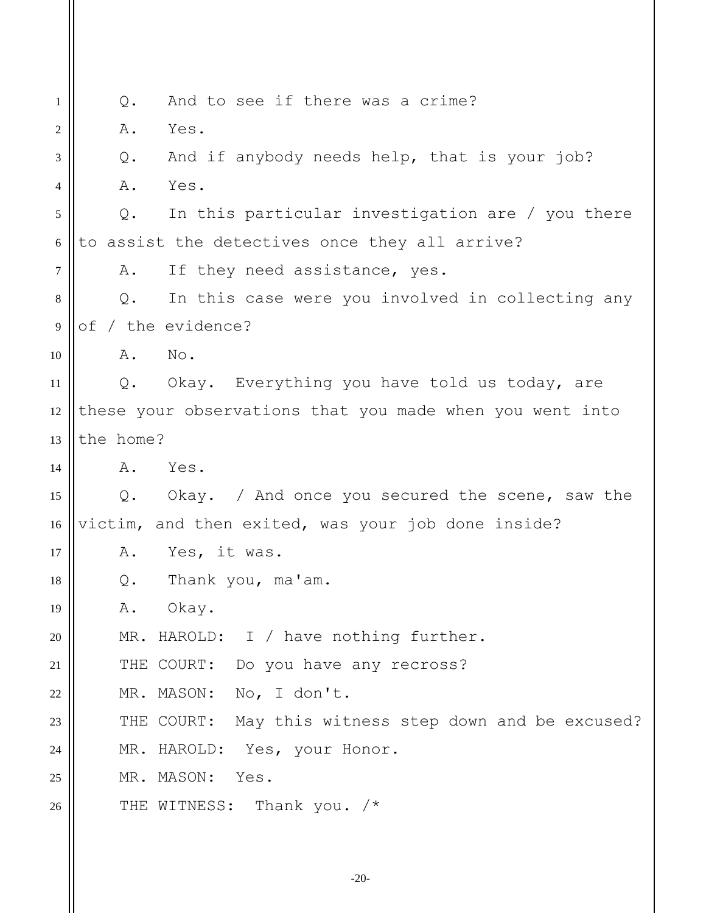| 1              | And to see if there was a crime?<br>$Q$ .                |
|----------------|----------------------------------------------------------|
| 2              | Α.<br>Yes.                                               |
| 3              | And if anybody needs help, that is your job?<br>$Q$ .    |
| $\overline{4}$ | Yes.<br>Α.                                               |
| 5              | In this particular investigation are / you there<br>Q.   |
| 6              | to assist the detectives once they all arrive?           |
| 7              | If they need assistance, yes.<br>Α.                      |
| 8              | In this case were you involved in collecting any<br>Q.   |
| 9              | of / the evidence?                                       |
| 10             | $\mathbb N\circ$ .<br>Α.                                 |
| 11             | Okay. Everything you have told us today, are<br>Q.       |
| 12             | these your observations that you made when you went into |
| 13             | the home?                                                |
| 14             | A. Yes.                                                  |
| 15             | Q. Okay. / And once you secured the scene, saw the       |
| 16             | victim, and then exited, was your job done inside?       |
| 17             | Yes, it was.<br>Α.                                       |
| 18             | Thank you, ma'am.<br>Q.                                  |
| 19             | Okay.<br>Α.                                              |
| 20             | MR. HAROLD: I / have nothing further.                    |
| 21             | THE COURT: Do you have any recross?                      |
| 22             | MR. MASON: No, I don't.                                  |
| 23             | THE COURT: May this witness step down and be excused?    |
| 24             | MR. HAROLD: Yes, your Honor.                             |
| 25             | MR. MASON: Yes.                                          |
| 26             | THE WITNESS: Thank you. /*                               |
|                |                                                          |

-20-